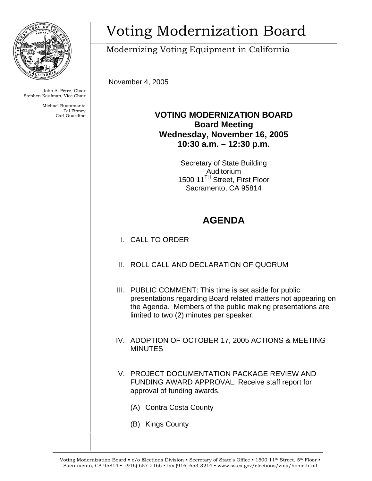

John A. Pérez, Chair Stephen Kaufman, Vice Chair

> Michael Bustamante Tal Finney Carl Guardino

# Voting Modernization Board

Modernizing Voting Equipment in California

November 4, 2005

### **VOTING MODERNIZATION BOARD Board Meeting Wednesday, November 16, 2005 10:30 a.m. – 12:30 p.m.**

Secretary of State Building Auditorium 1500 11<sup>TH</sup> Street, First Floor Sacramento, CA 95814

## **AGENDA**

- I. CALL TO ORDER
- II. ROLL CALL AND DECLARATION OF QUORUM
- III. PUBLIC COMMENT: This time is set aside for public presentations regarding Board related matters not appearing on the Agenda. Members of the public making presentations are limited to two (2) minutes per speaker.
- IV. ADOPTION OF OCTOBER 17, 2005 ACTIONS & MEETING MINUTES
- V. PROJECT DOCUMENTATION PACKAGE REVIEW AND FUNDING AWARD APPROVAL: Receive staff report for approval of funding awards.
	- (A) Contra Costa County
	- (B) Kings County